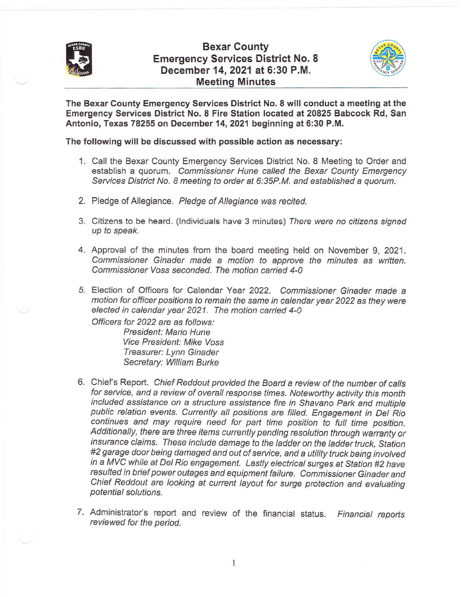

## Bexar County Emergency Services District No. 8 December 14,2021 at 6:30 P.M. Meeting Minutes



The Bexar Gounty Emergency Services District No. 8 will conduct a meeting at the Emergency Services District No. 8 Fire Station located at 20825 Babcock Rd, San Antonio, Texas 78255 on December 14,2021 beginning at 6:30 P.M.

The following will be discussed with possible action as necessary:

- 1. Call the Bexar County Emergency Services District No. 8 Meeting to Order and establish a quorum. Commissioner Hune called the Bexar County Emergency Services District No. 8 meeting to order at 6:35P.M. and established a quorum.
- 2. Pledge of Allegiance. Pledge of Allegiance was recited.
- 3. Citizens to be heard. (lndividuals have 3 minutes) There were no citizens signed up to speak.
- 4. Approval of the minutes from the board meeting held on November 9,2021. Commissioner Ginader made a motion to approve the minutes as written. Commissioner Voss seconded. The motion carried 4-0
- 5. Election of Officers for Calendar Year 2022. Commissioner Ginader made <sup>a</sup> motion for officer positions to remain the same in calendar year 2022 as they were elected in calendar year 2021. The motion carried 4-0

Officers for 2022 are as follows: President: Mario Hune Vice President: Mike Voss Treasurer: Lynn Ginader Secretary: William Burke

- 6. Chiefs Report. Chief Reddout provided the Board a review of the number of calls for service, and a review of overall response times. Noteworthy activity this month included assistance on a structure assistance fire in Shavano Park and multiple public relation events. Currently all positions are filled. Engagement in Det Rio continues and may require need for part time position to fult time position. Additionally, there are three items currently pending resolution through warranty or insurance claims. These include damage to the ladder on the ladder truck, Station #2 garage door being damaged and out of service, and a utility truck being involved in a MVC while at Del Rio engagement. Lastly electrical surges at Station #2 have resulted in brief power outages and equipment failure. Commissioner Ginader and Chief Reddout are looking at current layout for surge protection and evaluating potential solutions.
- 7. Administrator's report and review of the financial status. Financial reports reviewed for the period.